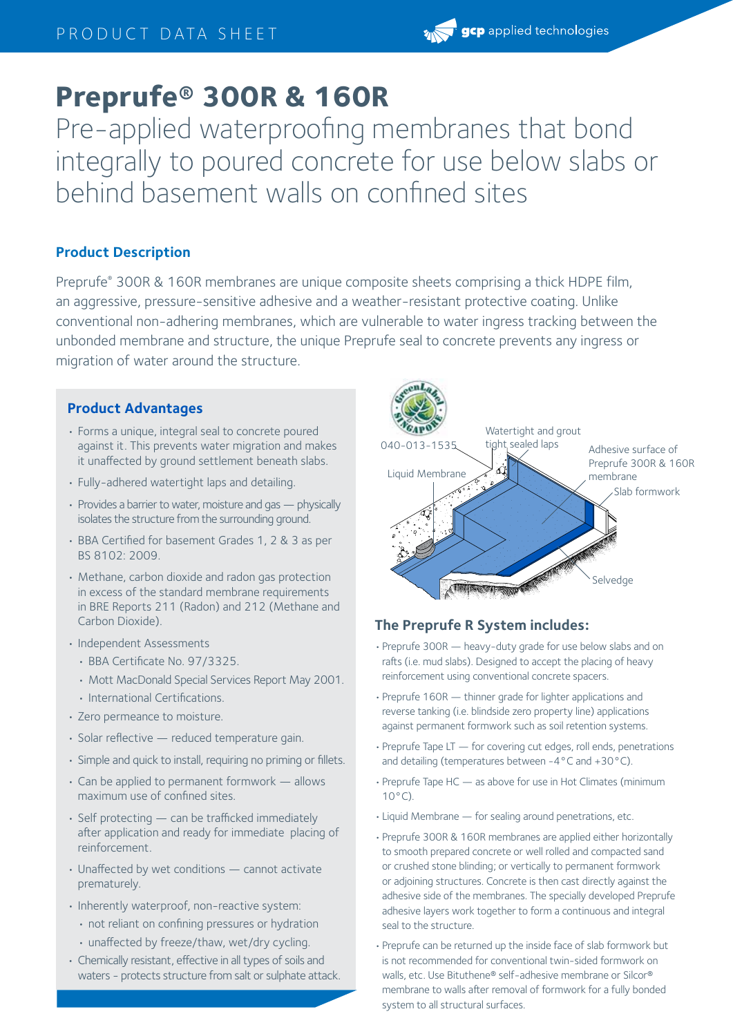# **Preprufe® 300R & 160R**

Pre-applied waterproofing membranes that bond integrally to poured concrete for use below slabs or behind basement walls on confined sites

# **Product Description**

Preprufe® 300R & 160R membranes are unique composite sheets comprising a thick HDPE film, an aggressive, pressure-sensitive adhesive and a weather-resistant protective coating. Unlike conventional non-adhering membranes, which are vulnerable to water ingress tracking between the unbonded membrane and structure, the unique Preprufe seal to concrete prevents any ingress or migration of water around the structure.

## **Product Advantages**

- Forms a unique, integral seal to concrete poured against it. This prevents water migration and makes it unaffected by ground settlement beneath slabs.
- Fully-adhered watertight laps and detailing.
- Provides a barrier to water, moisture and gas physically isolates the structure from the surrounding ground.
- BBA Certified for basement Grades 1, 2 & 3 as per BS 8102: 2009.
- Methane, carbon dioxide and radon gas protection in excess of the standard membrane requirements in BRE Reports 211 (Radon) and 212 (Methane and Carbon Dioxide).
- Independent Assessments
	- BBA Certificate No. 97/3325.
	- Mott MacDonald Special Services Report May 2001.
	- International Certifications.
- Zero permeance to moisture.
- Solar reflective reduced temperature gain.
- Simple and quick to install, requiring no priming or fillets.
- Can be applied to permanent formwork allows maximum use of confined sites.
- Self protecting can be trafficked immediately after application and ready for immediate placing of reinforcement.
- Unaffected by wet conditions cannot activate prematurely.
- Inherently waterproof, non-reactive system:
	- not reliant on confining pressures or hydration
	- unaffected by freeze/thaw, wet/dry cycling.
- Chemically resistant, effective in all types of soils and waters - protects structure from salt or sulphate attack.



# **The Preprufe R System includes:**

- •Preprufe 300R heavy-duty grade for use below slabs and on rafts (i.e. mud slabs). Designed to accept the placing of heavy reinforcement using conventional concrete spacers.
- •Preprufe 160R thinner grade for lighter applications and reverse tanking (i.e. blindside zero property line) applications against permanent formwork such as soil retention systems.
- •Preprufe Tape LT for covering cut edges, roll ends, penetrations and detailing (temperatures between -4°C and +30°C).
- •Preprufe Tape HC as above for use in Hot Climates (minimum  $10^{\circ}$ C).
- •Liquid Membrane for sealing around penetrations, etc.
- •Preprufe 300R & 160R membranes are applied either horizontally to smooth prepared concrete or well rolled and compacted sand or crushed stone blinding; or vertically to permanent formwork or adjoining structures. Concrete is then cast directly against the adhesive side of the membranes. The specially developed Preprufe adhesive layers work together to form a continuous and integral seal to the structure.
- •Preprufe can be returned up the inside face of slab formwork but is not recommended for conventional twin-sided formwork on walls, etc. Use Bituthene® self-adhesive membrane or Silcor® membrane to walls after removal of formwork for a fully bonded system to all structural surfaces.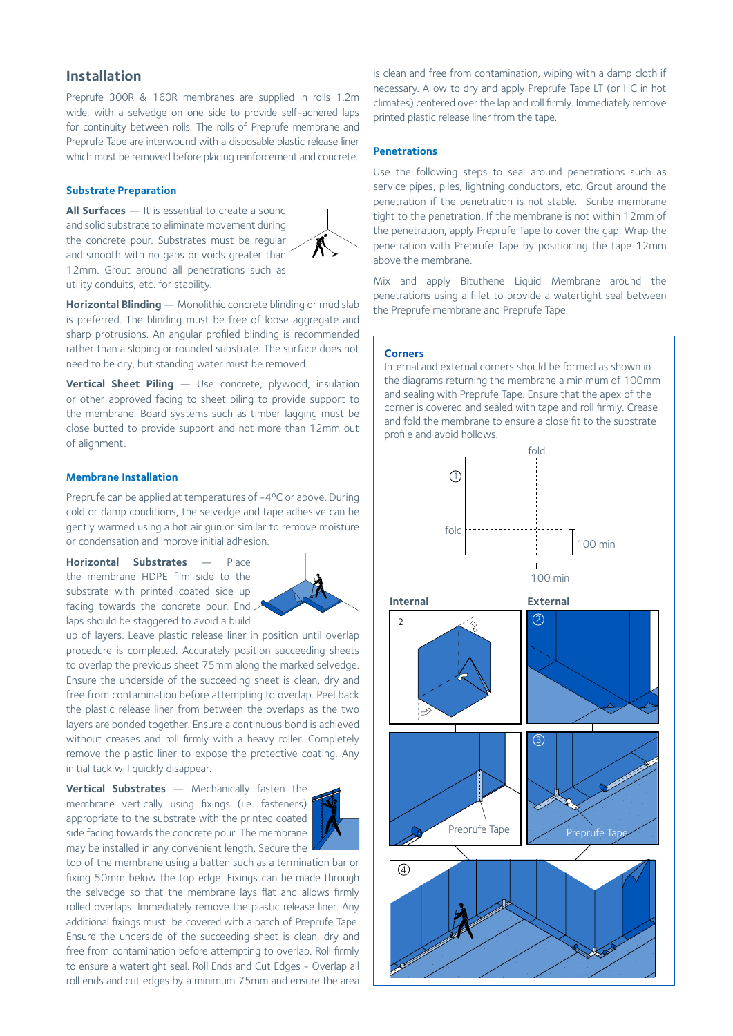## **Installation**

Preprufe 300R & 160R membranes are supplied in rolls 1.2m wide, with a selvedge on one side to provide self-adhered laps for continuity between rolls. The rolls of Preprufe membrane and Preprufe Tape are interwound with a disposable plastic release liner which must be removed before placing reinforcement and concrete.

#### **Substrate Preparation**

**All Surfaces** — It is essential to create a sound and solid substrate to eliminate movement during the concrete pour. Substrates must be regular and smooth with no gaps or voids greater than 12mm. Grout around all penetrations such as utility conduits, etc. for stability.



**Horizontal Blinding** — Monolithic concrete blinding or mud slab is preferred. The blinding must be free of loose aggregate and sharp protrusions. An angular profiled blinding is recommended rather than a sloping or rounded substrate. The surface does not need to be dry, but standing water must be removed.

**Vertical Sheet Piling** — Use concrete, plywood, insulation or other approved facing to sheet piling to provide support to the membrane. Board systems such as timber lagging must be close butted to provide support and not more than 12mm out of alignment.

#### **Membrane Installation**

Preprufe can be applied at temperatures of -4ºC or above. During cold or damp conditions, the selvedge and tape adhesive can be gently warmed using a hot air gun or similar to remove moisture or condensation and improve initial adhesion.

**Horizontal Substrates** — Place the membrane HDPE film side to the substrate with printed coated side up facing towards the concrete pour. End. laps should be staggered to avoid a build



up of layers. Leave plastic release liner in position until overlap procedure is completed. Accurately position succeeding sheets to overlap the previous sheet 75mm along the marked selvedge. Ensure the underside of the succeeding sheet is clean, dry and free from contamination before attempting to overlap. Peel back the plastic release liner from between the overlaps as the two layers are bonded together. Ensure a continuous bond is achieved without creases and roll firmly with a heavy roller. Completely remove the plastic liner to expose the protective coating. Any initial tack will quickly disappear.

**Vertical Substrates** — Mechanically fasten the membrane vertically using fixings (i.e. fasteners) appropriate to the substrate with the printed coated side facing towards the concrete pour. The membrane may be installed in any convenient length. Secure the



top of the membrane using a batten such as a termination bar or fixing 50mm below the top edge. Fixings can be made through the selvedge so that the membrane lays flat and allows firmly rolled overlaps. Immediately remove the plastic release liner. Any additional fixings must be covered with a patch of Preprufe Tape. Ensure the underside of the succeeding sheet is clean, dry and free from contamination before attempting to overlap. Roll firmly to ensure a watertight seal. Roll Ends and Cut Edges - Overlap all roll ends and cut edges by a minimum 75mm and ensure the area

is clean and free from contamination, wiping with a damp cloth if necessary. Allow to dry and apply Preprufe Tape LT (or HC in hot climates) centered over the lap and roll firmly. Immediately remove printed plastic release liner from the tape.

#### **Penetrations**

Use the following steps to seal around penetrations such as service pipes, piles, lightning conductors, etc. Grout around the penetration if the penetration is not stable. Scribe membrane tight to the penetration. If the membrane is not within 12mm of the penetration, apply Preprufe Tape to cover the gap. Wrap the penetration with Preprufe Tape by positioning the tape 12mm above the membrane.

Mix and apply Bituthene Liquid Membrane around the penetrations using a fillet to provide a watertight seal between the Preprufe membrane and Preprufe Tape.

#### **Corners**

Internal and external corners should be formed as shown in the diagrams returning the membrane a minimum of 100mm and sealing with Preprufe Tape. Ensure that the apex of the corner is covered and sealed with tape and roll firmly. Crease and fold the membrane to ensure a close fit to the substrate profile and avoid hollows.

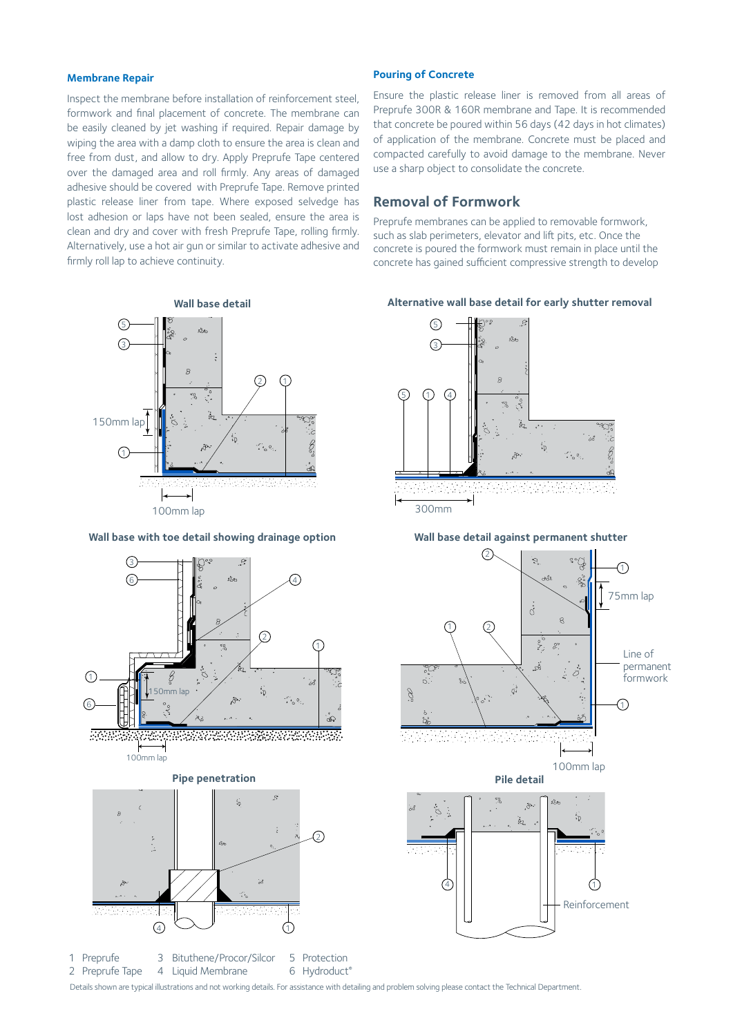#### **Membrane Repair**

Inspect the membrane before installation of reinforcement steel, formwork and final placement of concrete. The membrane can be easily cleaned by jet washing if required. Repair damage by wiping the area with a damp cloth to ensure the area is clean and free from dust, and allow to dry. Apply Preprufe Tape centered over the damaged area and roll firmly. Any areas of damaged adhesive should be covered with Preprufe Tape. Remove printed plastic release liner from tape. Where exposed selvedge has lost adhesion or laps have not been sealed, ensure the area is clean and dry and cover with fresh Preprufe Tape, rolling firmly. Alternatively, use a hot air gun or similar to activate adhesive and firmly roll lap to achieve continuity.



#### **Wall base with toe detail showing drainage option**



#### **Pouring of Concrete**

Ensure the plastic release liner is removed from all areas of Preprufe 300R & 160R membrane and Tape. It is recommended that concrete be poured within 56 days (42 days in hot climates) of application of the membrane. Concrete must be placed and compacted carefully to avoid damage to the membrane. Never use a sharp object to consolidate the concrete.

## **Removal of Formwork**

Preprufe membranes can be applied to removable formwork, such as slab perimeters, elevator and lift pits, etc. Once the concrete is poured the formwork must remain in place until the concrete has gained sufficient compressive strength to develop

**Alternative wall base detail for early shutter removal**



300mm

**Wall base detail against permanent shutter**



Details shown are typical illustrations and not working details. For assistance with detailing and problem solving please contact the Technical Department.